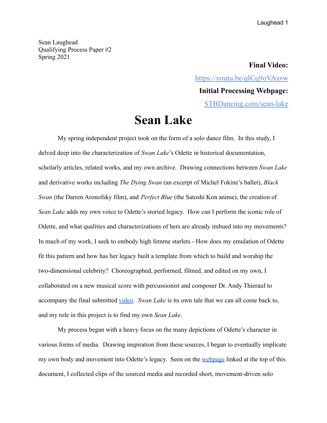Sean Laughead Qualifying Process Paper #2 Spring 2021

> **Final Video:** <https://youtu.be/qICq9oVAsxw> **Initial Processing Webpage:** [STBDancing.com/sean-lake](https://www.stbdancing.com/sean-lake.html)

## **Sean Lake**

My spring independent project took on the form of a solo dance film. In this study, I delved deep into the characterization of *Swan Lake*'s Odette in historical documentation, scholarly articles, related works, and my own archive. Drawing connections between *Swan Lake* and derivative works including *The Dying Swan* (an excerpt of Michel Fokine's ballet), *Black Swan* (the Darren Aronofsky film), and *Perfect Blue* (the Satoshi Kon anime), the creation of *Sean Lake* adds my own voice to Odette's storied legacy. How can I perform the iconic role of Odette, and what qualities and characterizations of hers are already imbued into my movements? In much of my work, I seek to embody high femme starlets - How does my emulation of Odette fit this pattern and how has her legacy built a template from which to build and worship the two-dimensional celebrity? Choreographed, performed, filmed, and edited on my own, I collaborated on a new musical score with percussionist and composer Dr. Andy Thierauf to accompany the final submitted [video](https://youtu.be/qICq9oVAsxw). *Swan Lake* is its own tale that we can all come back to, and my role in this project is to find my own *Sean Lake*.

My process began with a heavy focus on the many depictions of Odette's character in various forms of media. Drawing inspiration from these sources, I began to eventually implicate my own body and movement into Odette's legacy. Seen on the [webpage](https://www.stbdancing.com/sean-lake.html) linked at the top of this document, I collected clips of the sourced media and recorded short, movement-driven solo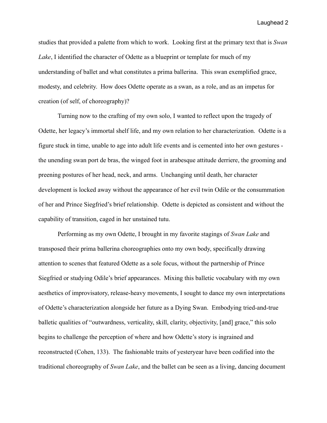studies that provided a palette from which to work. Looking first at the primary text that is *Swan Lake*, I identified the character of Odette as a blueprint or template for much of my understanding of ballet and what constitutes a prima ballerina. This swan exemplified grace, modesty, and celebrity. How does Odette operate as a swan, as a role, and as an impetus for creation (of self, of choreography)?

Turning now to the crafting of my own solo, I wanted to reflect upon the tragedy of Odette, her legacy's immortal shelf life, and my own relation to her characterization. Odette is a figure stuck in time, unable to age into adult life events and is cemented into her own gestures the unending swan port de bras, the winged foot in arabesque attitude derriere, the grooming and preening postures of her head, neck, and arms. Unchanging until death, her character development is locked away without the appearance of her evil twin Odile or the consummation of her and Prince Siegfried's brief relationship. Odette is depicted as consistent and without the capability of transition, caged in her unstained tutu.

Performing as my own Odette, I brought in my favorite stagings of *Swan Lake* and transposed their prima ballerina choreographies onto my own body, specifically drawing attention to scenes that featured Odette as a sole focus, without the partnership of Prince Siegfried or studying Odile's brief appearances. Mixing this balletic vocabulary with my own aesthetics of improvisatory, release-heavy movements, I sought to dance my own interpretations of Odette's characterization alongside her future as a Dying Swan. Embodying tried-and-true balletic qualities of "outwardness, verticality, skill, clarity, objectivity, [and] grace," this solo begins to challenge the perception of where and how Odette's story is ingrained and reconstructed (Cohen, 133). The fashionable traits of yesteryear have been codified into the traditional choreography of *Swan Lake*, and the ballet can be seen as a living, dancing document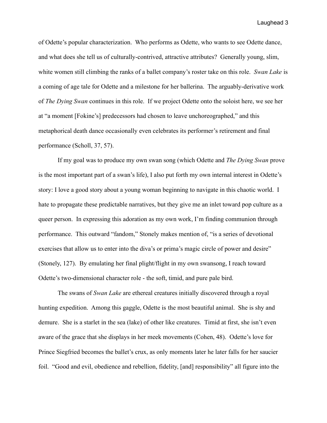of Odette's popular characterization. Who performs as Odette, who wants to see Odette dance, and what does she tell us of culturally-contrived, attractive attributes? Generally young, slim, white women still climbing the ranks of a ballet company's roster take on this role. *Swan Lake* is a coming of age tale for Odette and a milestone for her ballerina. The arguably-derivative work of *The Dying Swan* continues in this role. If we project Odette onto the soloist here, we see her at "a moment [Fokine's] predecessors had chosen to leave unchoreographed," and this metaphorical death dance occasionally even celebrates its performer's retirement and final performance (Scholl, 37, 57).

If my goal was to produce my own swan song (which Odette and *The Dying Swan* prove is the most important part of a swan's life), I also put forth my own internal interest in Odette's story: I love a good story about a young woman beginning to navigate in this chaotic world. I hate to propagate these predictable narratives, but they give me an inlet toward pop culture as a queer person. In expressing this adoration as my own work, I'm finding communion through performance. This outward "fandom," Stonely makes mention of, "is a series of devotional exercises that allow us to enter into the diva's or prima's magic circle of power and desire" (Stonely, 127). By emulating her final plight/flight in my own swansong, I reach toward Odette's two-dimensional character role - the soft, timid, and pure pale bird.

The swans of *Swan Lake* are ethereal creatures initially discovered through a royal hunting expedition. Among this gaggle, Odette is the most beautiful animal. She is shy and demure. She is a starlet in the sea (lake) of other like creatures. Timid at first, she isn't even aware of the grace that she displays in her meek movements (Cohen, 48). Odette's love for Prince Siegfried becomes the ballet's crux, as only moments later he later falls for her saucier foil. "Good and evil, obedience and rebellion, fidelity, [and] responsibility" all figure into the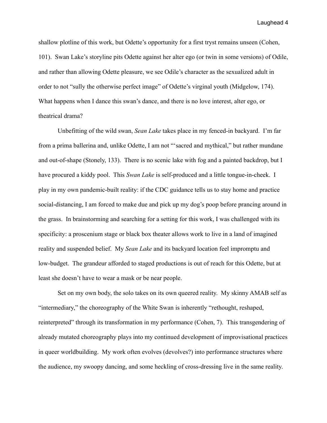shallow plotline of this work, but Odette's opportunity for a first tryst remains unseen (Cohen, 101). Swan Lake's storyline pits Odette against her alter ego (or twin in some versions) of Odile, and rather than allowing Odette pleasure, we see Odile's character as the sexualized adult in order to not "sully the otherwise perfect image" of Odette's virginal youth (Midgelow, 174). What happens when I dance this swan's dance, and there is no love interest, alter ego, or theatrical drama?

Unbefitting of the wild swan, *Sean Lake* takes place in my fenced-in backyard. I'm far from a prima ballerina and, unlike Odette, I am not "'sacred and mythical," but rather mundane and out-of-shape (Stonely, 133). There is no scenic lake with fog and a painted backdrop, but I have procured a kiddy pool. This *Swan Lake* is self-produced and a little tongue-in-cheek. I play in my own pandemic-built reality: if the CDC guidance tells us to stay home and practice social-distancing, I am forced to make due and pick up my dog's poop before prancing around in the grass. In brainstorming and searching for a setting for this work, I was challenged with its specificity: a proscenium stage or black box theater allows work to live in a land of imagined reality and suspended belief. My *Sean Lake* and its backyard location feel impromptu and low-budget. The grandeur afforded to staged productions is out of reach for this Odette, but at least she doesn't have to wear a mask or be near people.

Set on my own body, the solo takes on its own queered reality. My skinny AMAB self as "intermediary," the choreography of the White Swan is inherently "rethought, reshaped, reinterpreted" through its transformation in my performance (Cohen, 7). This transgendering of already mutated choreography plays into my continued development of improvisational practices in queer worldbuilding. My work often evolves (devolves?) into performance structures where the audience, my swoopy dancing, and some heckling of cross-dressing live in the same reality.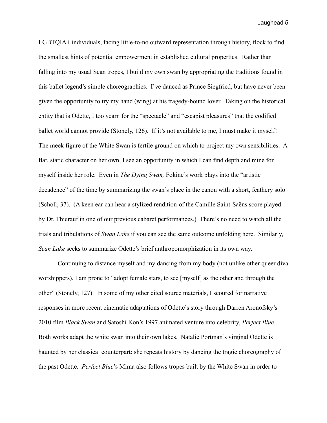LGBTQIA+ individuals, facing little-to-no outward representation through history, flock to find the smallest hints of potential empowerment in established cultural properties. Rather than falling into my usual Sean tropes, I build my own swan by appropriating the traditions found in this ballet legend's simple choreographies. I've danced as Prince Siegfried, but have never been given the opportunity to try my hand (wing) at his tragedy-bound lover. Taking on the historical entity that is Odette, I too yearn for the "spectacle" and "escapist pleasures" that the codified ballet world cannot provide (Stonely, 126). If it's not available to me, I must make it myself! The meek figure of the White Swan is fertile ground on which to project my own sensibilities: A flat, static character on her own, I see an opportunity in which I can find depth and mine for myself inside her role. Even in *The Dying Swan,* Fokine's work plays into the "artistic decadence" of the time by summarizing the swan's place in the canon with a short, feathery solo (Scholl, 37). (A keen ear can hear a stylized rendition of the Camille Saint-Saëns score played by Dr. Thierauf in one of our previous cabaret performances.) There's no need to watch all the trials and tribulations of *Swan Lake* if you can see the same outcome unfolding here. Similarly, *Sean Lake* seeks to summarize Odette's brief anthropomorphization in its own way.

Continuing to distance myself and my dancing from my body (not unlike other queer diva worshippers), I am prone to "adopt female stars, to see [myself] as the other and through the other" (Stonely, 127). In some of my other cited source materials, I scoured for narrative responses in more recent cinematic adaptations of Odette's story through Darren Aronofsky's 2010 film *Black Swan* and Satoshi Kon's 1997 animated venture into celebrity, *Perfect Blue*. Both works adapt the white swan into their own lakes. Natalie Portman's virginal Odette is haunted by her classical counterpart: she repeats history by dancing the tragic choreography of the past Odette. *Perfect Blue*'s Mima also follows tropes built by the White Swan in order to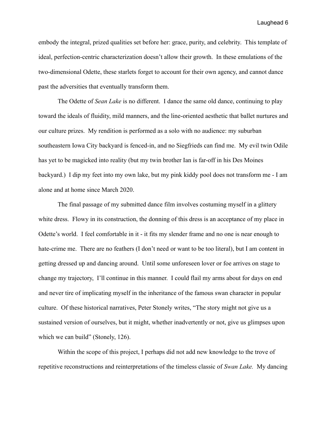embody the integral, prized qualities set before her: grace, purity, and celebrity. This template of ideal, perfection-centric characterization doesn't allow their growth. In these emulations of the two-dimensional Odette, these starlets forget to account for their own agency, and cannot dance past the adversities that eventually transform them.

The Odette of *Sean Lake* is no different. I dance the same old dance, continuing to play toward the ideals of fluidity, mild manners, and the line-oriented aesthetic that ballet nurtures and our culture prizes. My rendition is performed as a solo with no audience: my suburban southeastern Iowa City backyard is fenced-in, and no Siegfrieds can find me. My evil twin Odile has yet to be magicked into reality (but my twin brother Ian is far-off in his Des Moines backyard.) I dip my feet into my own lake, but my pink kiddy pool does not transform me - I am alone and at home since March 2020.

The final passage of my submitted dance film involves costuming myself in a glittery white dress. Flowy in its construction, the donning of this dress is an acceptance of my place in Odette's world. I feel comfortable in it - it fits my slender frame and no one is near enough to hate-crime me. There are no feathers (I don't need or want to be too literal), but I am content in getting dressed up and dancing around. Until some unforeseen lover or foe arrives on stage to change my trajectory, I'll continue in this manner. I could flail my arms about for days on end and never tire of implicating myself in the inheritance of the famous swan character in popular culture. Of these historical narratives, Peter Stonely writes, "The story might not give us a sustained version of ourselves, but it might, whether inadvertently or not, give us glimpses upon which we can build" (Stonely, 126).

Within the scope of this project, I perhaps did not add new knowledge to the trove of repetitive reconstructions and reinterpretations of the timeless classic of *Swan Lake.* My dancing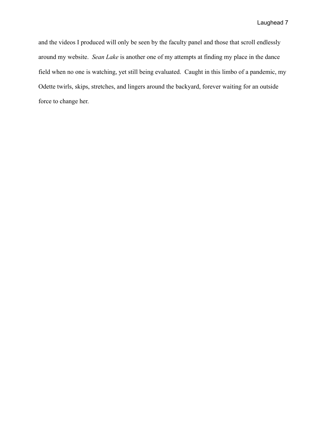and the videos I produced will only be seen by the faculty panel and those that scroll endlessly around my website. *Sean Lake* is another one of my attempts at finding my place in the dance field when no one is watching, yet still being evaluated. Caught in this limbo of a pandemic, my Odette twirls, skips, stretches, and lingers around the backyard, forever waiting for an outside force to change her.